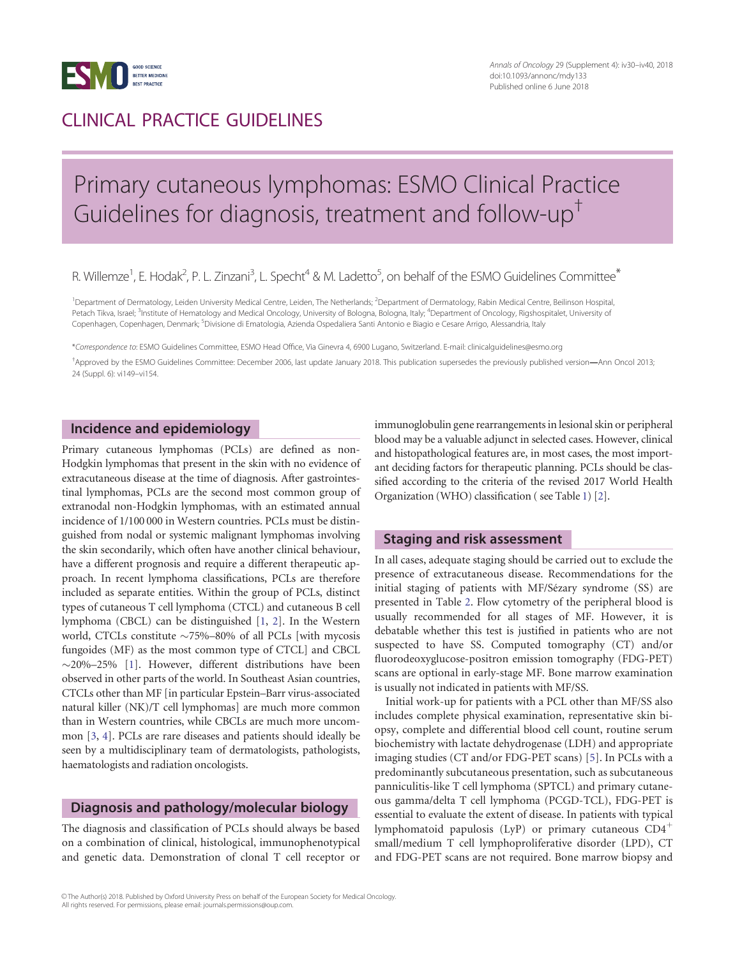<span id="page-0-0"></span>

# CLINICAL PRACTICE GUIDELINES

# Primary cutaneous lymphomas: ESMO Clinical Practice Guidelines for diagnosis, treatment and follow-up†

# R. Willemze<sup>1</sup>, E. Hodak<sup>2</sup>, P. L. Zinzani<sup>3</sup>, L. Specht<sup>4</sup> & M. Ladetto<sup>5</sup>, on behalf of the ESMO Guidelines Committee<sup>\*</sup>

<sup>1</sup> Department of Dermatology, Leiden University Medical Centre, Leiden, The Netherlands; <sup>2</sup> Department of Dermatology, Rabin Medical Centre, Beilinson Hospital Petach Tikva, Israel; <sup>3</sup>Institute of Hematology and Medical Oncology, University of Bologna, Bologna, Italy; <sup>4</sup>Department of Oncology, Rigshospitalet, University of Copenhagen, Copenhagen, Denmark; <sup>s</sup>Divisione di Ematologia, Azienda Ospedaliera Santi Antonio e Biagio e Cesare Arrigo, Alessandria, Italy

\*Correspondence to: ESMO Guidelines Committee, ESMO Head Office, Via Ginevra 4, 6900 Lugano, Switzerland. E-mail: clinicalguidelines@esmo.org

† Approved by the ESMO Guidelines Committee: December 2006, last update January 2018. This publication supersedes the previously published version—Ann Oncol 2013; 24 (Suppl. 6): vi149–vi154.

# Incidence and epidemiology

Primary cutaneous lymphomas (PCLs) are defined as non-Hodgkin lymphomas that present in the skin with no evidence of extracutaneous disease at the time of diagnosis. After gastrointestinal lymphomas, PCLs are the second most common group of extranodal non-Hodgkin lymphomas, with an estimated annual incidence of 1/100 000 in Western countries. PCLs must be distinguished from nodal or systemic malignant lymphomas involving the skin secondarily, which often have another clinical behaviour, have a different prognosis and require a different therapeutic approach. In recent lymphoma classifications, PCLs are therefore included as separate entities. Within the group of PCLs, distinct types of cutaneous T cell lymphoma (CTCL) and cutaneous B cell lymphoma (CBCL) can be distinguished [[1](#page-9-0), [2\]](#page-9-0). In the Western world, CTCLs constitute  $\sim$ 75%–80% of all PCLs [with mycosis fungoides (MF) as the most common type of CTCL] and CBCL  $\sim$ 20%–25% [\[1\]](#page-9-0). However, different distributions have been observed in other parts of the world. In Southeast Asian countries, CTCLs other than MF [in particular Epstein–Barr virus-associated natural killer (NK)/T cell lymphomas] are much more common than in Western countries, while CBCLs are much more uncommon [\[3,](#page-9-0) [4](#page-9-0)]. PCLs are rare diseases and patients should ideally be seen by a multidisciplinary team of dermatologists, pathologists, haematologists and radiation oncologists.

# Diagnosis and pathology/molecular biology

The diagnosis and classification of PCLs should always be based on a combination of clinical, histological, immunophenotypical and genetic data. Demonstration of clonal T cell receptor or immunoglobulin gene rearrangements in lesional skin or peripheral blood may be a valuable adjunct in selected cases. However, clinical and histopathological features are, in most cases, the most important deciding factors for therapeutic planning. PCLs should be classified according to the criteria of the revised 2017 World Health Organization (WHO) classification ( see Table [1](#page-1-0)) [[2](#page-9-0)].

## Staging and risk assessment

In all cases, adequate staging should be carried out to exclude the presence of extracutaneous disease. Recommendations for the initial staging of patients with MF/Sézary syndrome (SS) are presented in Table [2](#page-1-0). Flow cytometry of the peripheral blood is usually recommended for all stages of MF. However, it is debatable whether this test is justified in patients who are not suspected to have SS. Computed tomography (CT) and/or fluorodeoxyglucose-positron emission tomography (FDG-PET) scans are optional in early-stage MF. Bone marrow examination is usually not indicated in patients with MF/SS.

Initial work-up for patients with a PCL other than MF/SS also includes complete physical examination, representative skin biopsy, complete and differential blood cell count, routine serum biochemistry with lactate dehydrogenase (LDH) and appropriate imaging studies (CT and/or FDG-PET scans) [[5](#page-9-0)]. In PCLs with a predominantly subcutaneous presentation, such as subcutaneous panniculitis-like T cell lymphoma (SPTCL) and primary cutaneous gamma/delta T cell lymphoma (PCGD-TCL), FDG-PET is essential to evaluate the extent of disease. In patients with typical lymphomatoid papulosis (LyP) or primary cutaneous  $CD4^+$ small/medium T cell lymphoproliferative disorder (LPD), CT and FDG-PET scans are not required. Bone marrow biopsy and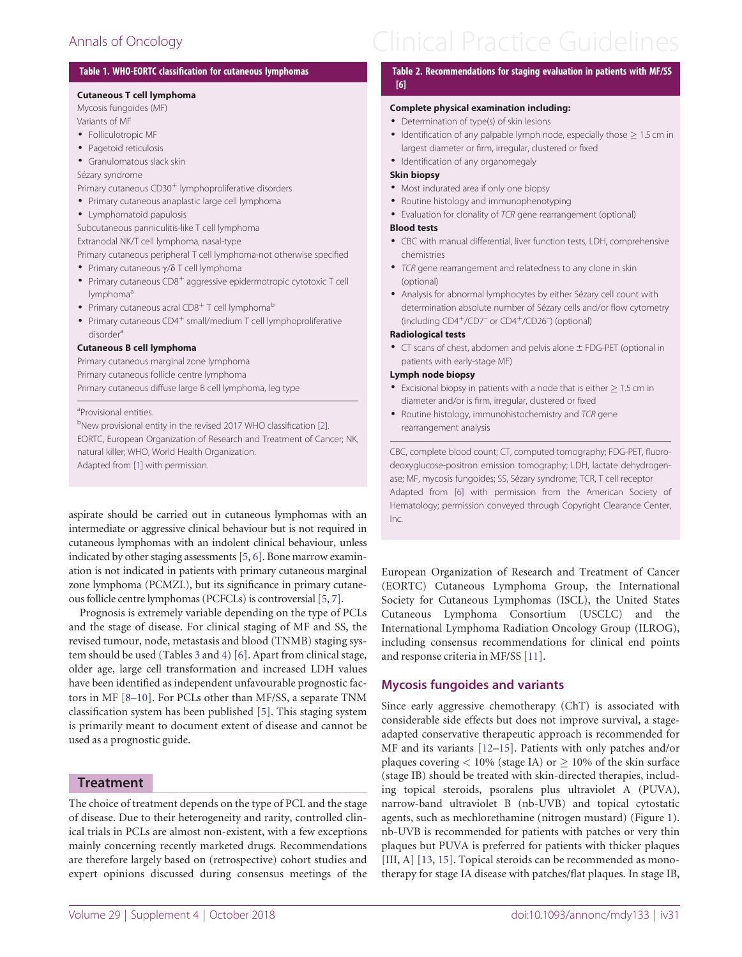#### Table 1. WHO-EORTC classification for cutaneous lymphomas

#### Cutaneous T cell lymphoma

Mycosis fungoides (MF) Variants of MF

- Folliculotropic MF
- Pagetoid reticulosis
- Granulomatous slack skin

Sézary syndrome

Primary cutaneous CD30<sup>+</sup> lymphoproliferative disorders

- Primary cutaneous anaplastic large cell lymphoma
- Lymphomatoid papulosis

Subcutaneous panniculitis-like T cell lymphoma

Extranodal NK/T cell lymphoma, nasal-type

Primary cutaneous peripheral T cell lymphoma-not otherwise specified

- Primary cutaneous  $\gamma/\delta$  T cell lymphoma
- Primary cutaneous  $CDB<sup>+</sup>$  aggressive epidermotropic cytotoxic T cell lymphoma<sup>a</sup>
- Primary cutaneous acral  $CDB<sup>+</sup> T$  cell lymphoma $<sup>b</sup>$ </sup>
- Primary cutaneous  $CD4^+$  small/medium T cell lymphoproliferative disordera

#### Cutaneous B cell lymphoma

Primary cutaneous marginal zone lymphoma Primary cutaneous follicle centre lymphoma Primary cutaneous diffuse large B cell lymphoma, leg type

#### a Provisional entities.

<sup>b</sup>New provisional entity in the revised [2](#page-9-0)017 WHO classification [2]. EORTC, European Organization of Research and Treatment of Cancer; NK, natural killer; WHO, World Health Organization. Adapted from [\[1](#page-9-0)] with permission.

aspirate should be carried out in cutaneous lymphomas with an intermediate or aggressive clinical behaviour but is not required in cutaneous lymphomas with an indolent clinical behaviour, unless indicated by other staging assessments [\[5,](#page-9-0) [6](#page-9-0)]. Bone marrow examination is not indicated in patients with primary cutaneous marginal zone lymphoma (PCMZL), but its significance in primary cutaneous follicle centre lymphomas (PCFCLs) is controversial [[5,](#page-9-0) [7](#page-9-0)].

Prognosis is extremely variable depending on the type of PCLs and the stage of disease. For clinical staging of MF and SS, the revised tumour, node, metastasis and blood (TNMB) staging system should be used (Tables [3](#page-2-0) and [4\)](#page-2-0) [\[6](#page-9-0)]. Apart from clinical stage, older age, large cell transformation and increased LDH values have been identified as independent unfavourable prognostic factors in MF [[8](#page-9-0)–[10\]](#page-9-0). For PCLs other than MF/SS, a separate TNM classification system has been published [\[5](#page-9-0)]. This staging system is primarily meant to document extent of disease and cannot be used as a prognostic guide.

# **Treatment**

The choice of treatment depends on the type of PCL and the stage of disease. Due to their heterogeneity and rarity, controlled clinical trials in PCLs are almost non-existent, with a few exceptions mainly concerning recently marketed drugs. Recommendations are therefore largely based on (retrospective) cohort studies and expert opinions discussed during consensus meetings of the

# <span id="page-1-0"></span>Annals of Oncology **Annals of Oncology Clinical Practice Guidelines**

### Table 2. Recommendations for staging evaluation in patients with MF/SS [\[6\]](#page-9-0)

### Complete physical examination including:

- Determination of type(s) of skin lesions
- Identification of any palpable lymph node, especially those  $> 1.5$  cm in largest diameter or firm, irregular, clustered or fixed
- Identification of any organomegaly

#### Skin biopsy

- Most indurated area if only one biopsy
- Routine histology and immunophenotyping
- Evaluation for clonality of TCR gene rearrangement (optional)

#### Blood tests

- CBC with manual differential, liver function tests, LDH, comprehensive chemistries
- TCR gene rearrangement and relatedness to any clone in skin (optional)
- Analysis for abnormal lymphocytes by either Sézary cell count with determination absolute number of Sézary cells and/or flow cytometry (including CD4+/CD7<sup>-</sup> or CD4+/CD26<sup>-</sup>) (optional)

### Radiological tests

• CT scans of chest, abdomen and pelvis alone ± FDG-PET (optional in patients with early-stage MF)

## Lymph node biopsy

- Excisional biopsy in patients with a node that is either  $\geq 1.5$  cm in diameter and/or is firm, irregular, clustered or fixed
- Routine histology, immunohistochemistry and TCR gene rearrangement analysis

CBC, complete blood count; CT, computed tomography; FDG-PET, fluorodeoxyglucose-positron emission tomography; LDH, lactate dehydrogenase; MF, mycosis fungoides; SS, Sézary syndrome; TCR, T cell receptor Adapted from [\[6](#page-9-0)] with permission from the American Society of Hematology; permission conveyed through Copyright Clearance Center, Inc.

European Organization of Research and Treatment of Cancer (EORTC) Cutaneous Lymphoma Group, the International Society for Cutaneous Lymphomas (ISCL), the United States Cutaneous Lymphoma Consortium (USCLC) and the International Lymphoma Radiation Oncology Group (ILROG), including consensus recommendations for clinical end points and response criteria in MF/SS [[11\]](#page-9-0).

# Mycosis fungoides and variants

Since early aggressive chemotherapy (ChT) is associated with considerable side effects but does not improve survival, a stageadapted conservative therapeutic approach is recommended for MF and its variants [[12](#page-9-0)–[15](#page-9-0)]. Patients with only patches and/or plaques covering  $< 10\%$  (stage IA) or  $> 10\%$  of the skin surface (stage IB) should be treated with skin-directed therapies, including topical steroids, psoralens plus ultraviolet A (PUVA), narrow-band ultraviolet B (nb-UVB) and topical cytostatic agents, such as mechlorethamine (nitrogen mustard) (Figure [1](#page-3-0)). nb-UVB is recommended for patients with patches or very thin plaques but PUVA is preferred for patients with thicker plaques [III, A] [[13](#page-9-0), [15\]](#page-9-0). Topical steroids can be recommended as monotherapy for stage IA disease with patches/flat plaques. In stage IB,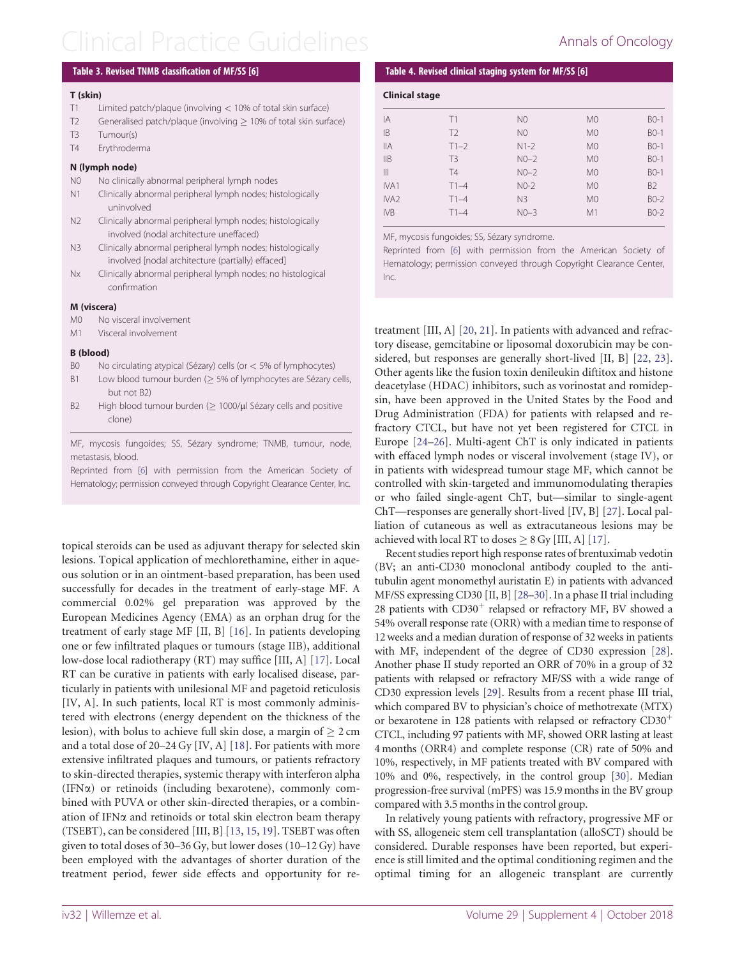# <span id="page-2-0"></span>Table 3. Revised TNMB classification of MF/SS [[6](#page-9-0)]

#### T (skin)

- T1 Limited patch/plaque (involving < 10% of total skin surface)
- T2 Generalised patch/plaque (involving  $> 10%$  of total skin surface)
- T3 Tumour(s)
- T4 Erythroderma

### N (lymph node)

- N0 No clinically abnormal peripheral lymph nodes
- N1 Clinically abnormal peripheral lymph nodes; histologically uninvolved
- N2 Clinically abnormal peripheral lymph nodes; histologically involved (nodal architecture uneffaced)
- N3 Clinically abnormal peripheral lymph nodes; histologically involved [nodal architecture (partially) effaced]
- Nx Clinically abnormal peripheral lymph nodes; no histological confirmation

### M (viscera)

- M0 No visceral involvement
- M1 Visceral involvement

### B (blood)

- B0 No circulating atypical (Sézary) cells (or  $<$  5% of lymphocytes)
- B1 Low blood tumour burden  $($  > 5% of lymphocytes are Sézary cells, but not B2)
- B2 High blood tumour burden  $( \geq 1000/\mu$ l Sézary cells and positive clone)

MF, mycosis fungoides; SS, Sézary syndrome; TNMB, tumour, node, metastasis, blood.

Reprinted from [\[6\]](#page-9-0) with permission from the American Society of Hematology; permission conveyed through Copyright Clearance Center, Inc.

topical steroids can be used as adjuvant therapy for selected skin lesions. Topical application of mechlorethamine, either in aqueous solution or in an ointment-based preparation, has been used successfully for decades in the treatment of early-stage MF. A commercial 0.02% gel preparation was approved by the European Medicines Agency (EMA) as an orphan drug for the treatment of early stage MF [II, B] [[16\]](#page-9-0). In patients developing one or few infiltrated plaques or tumours (stage IIB), additional low-dose local radiotherapy (RT) may suffice [III, A] [\[17\]](#page-9-0). Local RT can be curative in patients with early localised disease, particularly in patients with unilesional MF and pagetoid reticulosis [IV, A]. In such patients, local RT is most commonly administered with electrons (energy dependent on the thickness of the lesion), with bolus to achieve full skin dose, a margin of  $\geq 2$  cm and a total dose of 20–24 Gy [IV, A] [\[18](#page-9-0)]. For patients with more extensive infiltrated plaques and tumours, or patients refractory to skin-directed therapies, systemic therapy with interferon alpha (IFNa) or retinoids (including bexarotene), commonly combined with PUVA or other skin-directed therapies, or a combination of IFN $\alpha$  and retinoids or total skin electron beam therapy (TSEBT), can be considered [III, B] [[13,](#page-9-0) [15](#page-9-0), [19](#page-9-0)]. TSEBT was often given to total doses of 30–36 Gy, but lower doses (10–12 Gy) have been employed with the advantages of shorter duration of the treatment period, fewer side effects and opportunity for re-

## Table 4. Revised clinical staging system for MF/SS [\[6\]](#page-9-0)

Clinical stage

|                  | -              |                |                |           |
|------------------|----------------|----------------|----------------|-----------|
| IA               | Τ1             | N <sub>0</sub> | M <sub>0</sub> | $BO-1$    |
| IB               | T <sub>2</sub> | N <sub>0</sub> | M <sub>0</sub> | $BO-1$    |
| <b>IIA</b>       | $T1-2$         | $N1-2$         | M <sub>0</sub> | $BO-1$    |
| IIB              | T <sub>3</sub> | $N0-2$         | M <sub>0</sub> | $BO-1$    |
| $\mathbf{III}$   | T <sub>4</sub> | $N0-2$         | M <sub>0</sub> | $BO-1$    |
| IVA1             | $T1-4$         | $N0-2$         | M <sub>0</sub> | <b>B2</b> |
| IVA <sub>2</sub> | $T1-4$         | N <sub>3</sub> | M <sub>0</sub> | $B0-2$    |
| <b>IVB</b>       | $T1-4$         | $N0-3$         | M1             | $B0-2$    |

MF, mycosis fungoides; SS, Sézary syndrome.

Reprinted from [\[6](#page-9-0)] with permission from the American Society of Hematology; permission conveyed through Copyright Clearance Center, Inc.

treatment [III, A] [\[20](#page-10-0), [21](#page-10-0)]. In patients with advanced and refractory disease, gemcitabine or liposomal doxorubicin may be considered, but responses are generally short-lived [II, B] [\[22](#page-10-0), [23\]](#page-10-0). Other agents like the fusion toxin denileukin diftitox and histone deacetylase (HDAC) inhibitors, such as vorinostat and romidepsin, have been approved in the United States by the Food and Drug Administration (FDA) for patients with relapsed and refractory CTCL, but have not yet been registered for CTCL in Europe [\[24–26](#page-10-0)]. Multi-agent ChT is only indicated in patients with effaced lymph nodes or visceral involvement (stage IV), or in patients with widespread tumour stage MF, which cannot be controlled with skin-targeted and immunomodulating therapies or who failed single-agent ChT, but—similar to single-agent ChT—responses are generally short-lived [IV, B] [[27\]](#page-10-0). Local palliation of cutaneous as well as extracutaneous lesions may be achieved with local RT to doses  $\geq 8$  Gy [III, A] [[17\]](#page-9-0).

Recent studies report high response rates of brentuximab vedotin (BV; an anti-CD30 monoclonal antibody coupled to the antitubulin agent monomethyl auristatin E) in patients with advanced MF/SS expressing CD30 [II, B] [\[28–30\]](#page-10-0). In a phase II trial including 28 patients with  $CD30<sup>+</sup>$  relapsed or refractory MF, BV showed a 54% overall response rate (ORR) with a median time to response of 12 weeks and a median duration of response of 32 weeks in patients with MF, independent of the degree of CD30 expression [\[28\]](#page-10-0). Another phase II study reported an ORR of 70% in a group of 32 patients with relapsed or refractory MF/SS with a wide range of CD30 expression levels [\[29\]](#page-10-0). Results from a recent phase III trial, which compared BV to physician's choice of methotrexate (MTX) or bexarotene in 128 patients with relapsed or refractory  $CD30<sup>+</sup>$ CTCL, including 97 patients with MF, showed ORR lasting at least 4 months (ORR4) and complete response (CR) rate of 50% and 10%, respectively, in MF patients treated with BV compared with 10% and 0%, respectively, in the control group [\[30\]](#page-10-0). Median progression-free survival (mPFS) was 15.9 months in the BV group compared with 3.5 months in the control group.

In relatively young patients with refractory, progressive MF or with SS, allogeneic stem cell transplantation (alloSCT) should be considered. Durable responses have been reported, but experience is still limited and the optimal conditioning regimen and the optimal timing for an allogeneic transplant are currently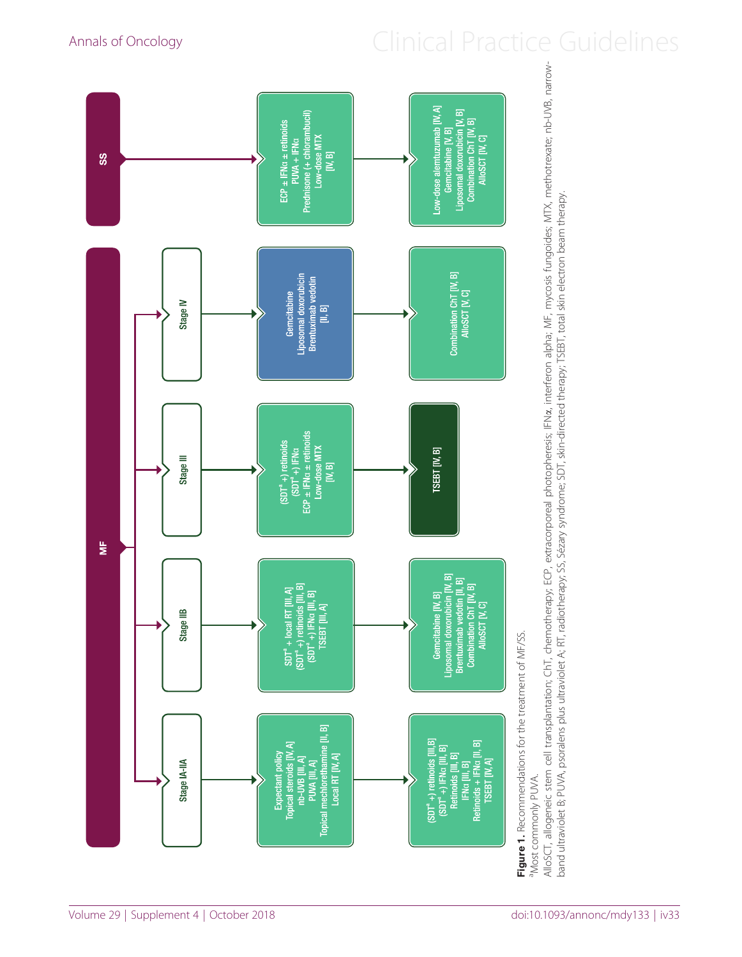<span id="page-3-0"></span>

band ultraviolet B; PUVA, psoralens plus ultraviolet A; RT, radiotherapy; SS, Se´zary syndrome; SDT, skin-directed therapy; TSEBT, total skin electron beam therapy.

band ultraviolet B; PUVA, psoralens plus ultraviolet A; RT, radiotherapy; SS, Sezary syndrome; SDT, skin-directed therapy; TSEBT, total skin electron beam therapy.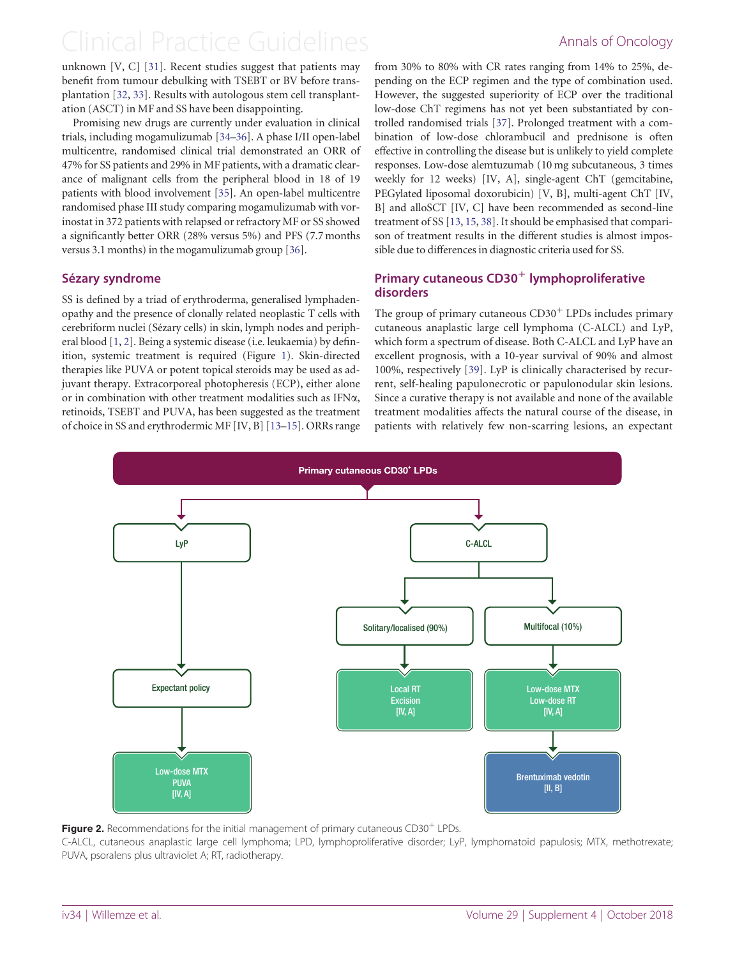<span id="page-4-0"></span>unknown [V, C] [\[31\]](#page-10-0). Recent studies suggest that patients may benefit from tumour debulking with TSEBT or BV before transplantation [\[32](#page-10-0), [33\]](#page-10-0). Results with autologous stem cell transplantation (ASCT) in MF and SS have been disappointing.

Promising new drugs are currently under evaluation in clinical trials, including mogamulizumab [\[34](#page-10-0)–[36\]](#page-10-0). A phase I/II open-label multicentre, randomised clinical trial demonstrated an ORR of 47% for SS patients and 29% in MF patients, with a dramatic clearance of malignant cells from the peripheral blood in 18 of 19 patients with blood involvement [\[35](#page-10-0)]. An open-label multicentre randomised phase III study comparing mogamulizumab with vorinostat in 372 patients with relapsed or refractory MF or SS showed a significantly better ORR (28% versus 5%) and PFS (7.7 months versus 3.1 months) in the mogamulizumab group [[36\]](#page-10-0).

# Sézary syndrome

SS is defined by a triad of erythroderma, generalised lymphadenopathy and the presence of clonally related neoplastic T cells with cerebriform nuclei (Sézary cells) in skin, lymph nodes and peripheral blood [[1](#page-9-0), [2\]](#page-9-0). Being a systemic disease (i.e. leukaemia) by definition, systemic treatment is required (Figure [1\)](#page-3-0). Skin-directed therapies like PUVA or potent topical steroids may be used as adjuvant therapy. Extracorporeal photopheresis (ECP), either alone or in combination with other treatment modalities such as IFNa, retinoids, TSEBT and PUVA, has been suggested as the treatment of choice in SS and erythrodermic MF [IV, B] [[13–15](#page-9-0)]. ORRs range

from 30% to 80% with CR rates ranging from 14% to 25%, depending on the ECP regimen and the type of combination used. However, the suggested superiority of ECP over the traditional low-dose ChT regimens has not yet been substantiated by controlled randomised trials [[37\]](#page-10-0). Prolonged treatment with a combination of low-dose chlorambucil and prednisone is often effective in controlling the disease but is unlikely to yield complete responses. Low-dose alemtuzumab (10 mg subcutaneous, 3 times weekly for 12 weeks) [IV, A], single-agent ChT (gemcitabine, PEGylated liposomal doxorubicin) [V, B], multi-agent ChT [IV, B] and alloSCT [IV, C] have been recommended as second-line treatment of SS [\[13](#page-9-0), [15](#page-9-0), [38](#page-10-0)]. It should be emphasised that comparison of treatment results in the different studies is almost impossible due to differences in diagnostic criteria used for SS.

# Primary cutaneous CD30<sup>+</sup> lymphoproliferative disorders

The group of primary cutaneous  $CD30<sup>+</sup>$  LPDs includes primary cutaneous anaplastic large cell lymphoma (C-ALCL) and LyP, which form a spectrum of disease. Both C-ALCL and LyP have an excellent prognosis, with a 10-year survival of 90% and almost 100%, respectively [[39\]](#page-10-0). LyP is clinically characterised by recurrent, self-healing papulonecrotic or papulonodular skin lesions. Since a curative therapy is not available and none of the available treatment modalities affects the natural course of the disease, in patients with relatively few non-scarring lesions, an expectant



**Figure 2.** Recommendations for the initial management of primary cutaneous  $CD30<sup>+</sup>$  LPDs.

C-ALCL, cutaneous anaplastic large cell lymphoma; LPD, lymphoproliferative disorder; LyP, lymphomatoid papulosis; MTX, methotrexate; PUVA, psoralens plus ultraviolet A; RT, radiotherapy.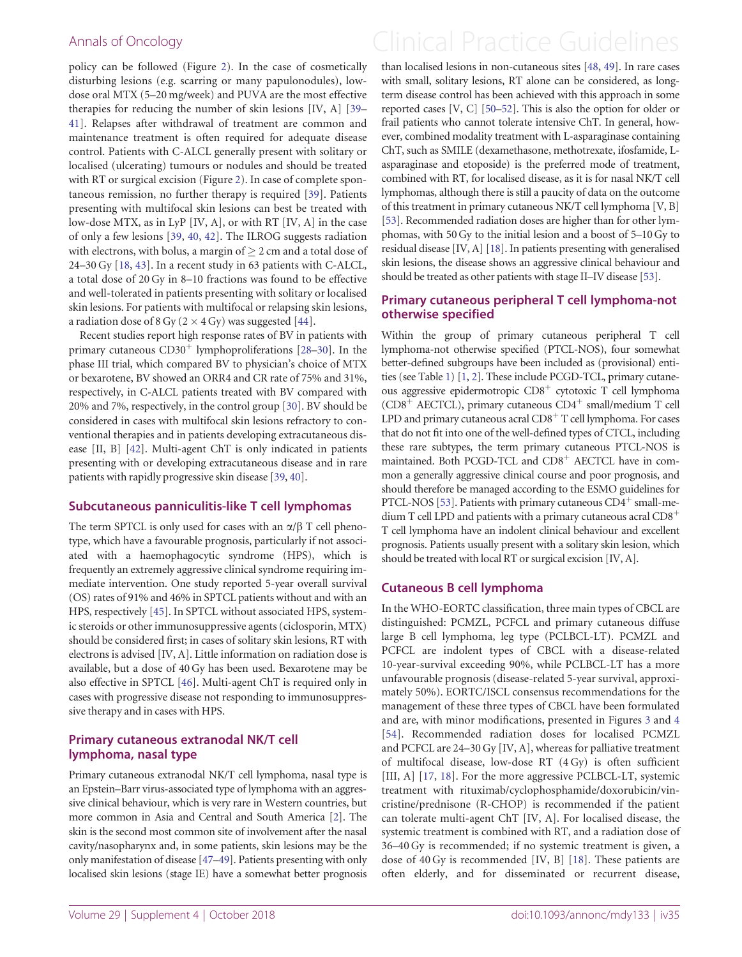policy can be followed (Figure [2](#page-4-0)). In the case of cosmetically disturbing lesions (e.g. scarring or many papulonodules), lowdose oral MTX (5–20 mg/week) and PUVA are the most effective therapies for reducing the number of skin lesions [IV, A] [\[39](#page-10-0)– [41\]](#page-10-0). Relapses after withdrawal of treatment are common and maintenance treatment is often required for adequate disease control. Patients with C-ALCL generally present with solitary or localised (ulcerating) tumours or nodules and should be treated with RT or surgical excision (Figure [2\)](#page-4-0). In case of complete spontaneous remission, no further therapy is required [[39\]](#page-10-0). Patients presenting with multifocal skin lesions can best be treated with low-dose MTX, as in LyP [IV, A], or with RT [IV, A] in the case of only a few lesions [[39](#page-10-0), [40](#page-10-0), [42](#page-10-0)]. The ILROG suggests radiation with electrons, with bolus, a margin of  $\geq 2$  cm and a total dose of 24–30 Gy [\[18](#page-9-0), [43\]](#page-10-0). In a recent study in 63 patients with C-ALCL, a total dose of 20 Gy in 8–10 fractions was found to be effective and well-tolerated in patients presenting with solitary or localised skin lesions. For patients with multifocal or relapsing skin lesions, a radiation dose of 8 Gy ( $2 \times 4$  Gy) was suggested [[44\]](#page-10-0).

Recent studies report high response rates of BV in patients with primary cutaneous  $CD30<sup>+</sup>$  lymphoproliferations [\[28](#page-10-0)–[30\]](#page-10-0). In the phase III trial, which compared BV to physician's choice of MTX or bexarotene, BV showed an ORR4 and CR rate of 75% and 31%, respectively, in C-ALCL patients treated with BV compared with 20% and 7%, respectively, in the control group [\[30](#page-10-0)]. BV should be considered in cases with multifocal skin lesions refractory to conventional therapies and in patients developing extracutaneous disease [II, B] [\[42](#page-10-0)]. Multi-agent ChT is only indicated in patients presenting with or developing extracutaneous disease and in rare patients with rapidly progressive skin disease [\[39](#page-10-0), [40](#page-10-0)].

# Subcutaneous panniculitis-like T cell lymphomas

The term SPTCL is only used for cases with an  $\alpha/\beta$  T cell phenotype, which have a favourable prognosis, particularly if not associated with a haemophagocytic syndrome (HPS), which is frequently an extremely aggressive clinical syndrome requiring immediate intervention. One study reported 5-year overall survival (OS) rates of 91% and 46% in SPTCL patients without and with an HPS, respectively [[45\]](#page-10-0). In SPTCL without associated HPS, systemic steroids or other immunosuppressive agents (ciclosporin, MTX) should be considered first; in cases of solitary skin lesions, RT with electrons is advised [IV, A]. Little information on radiation dose is available, but a dose of 40 Gy has been used. Bexarotene may be also effective in SPTCL [[46\]](#page-10-0). Multi-agent ChT is required only in cases with progressive disease not responding to immunosuppressive therapy and in cases with HPS.

# Primary cutaneous extranodal NK/T cell lymphoma, nasal type

Primary cutaneous extranodal NK/T cell lymphoma, nasal type is an Epstein–Barr virus-associated type of lymphoma with an aggressive clinical behaviour, which is very rare in Western countries, but more common in Asia and Central and South America [\[2\]](#page-9-0). The skin is the second most common site of involvement after the nasal cavity/nasopharynx and, in some patients, skin lesions may be the only manifestation of disease [\[47–49](#page-10-0)]. Patients presenting with only localised skin lesions (stage IE) have a somewhat better prognosis

# <span id="page-5-0"></span>Annals of Oncology **Annals of Oncology Clinical Practice Guidelines**

than localised lesions in non-cutaneous sites [\[48,](#page-10-0) [49](#page-10-0)]. In rare cases with small, solitary lesions, RT alone can be considered, as longterm disease control has been achieved with this approach in some reported cases [V, C] [[50–52\]](#page-10-0). This is also the option for older or frail patients who cannot tolerate intensive ChT. In general, however, combined modality treatment with L-asparaginase containing ChT, such as SMILE (dexamethasone, methotrexate, ifosfamide, Lasparaginase and etoposide) is the preferred mode of treatment, combined with RT, for localised disease, as it is for nasal NK/T cell lymphomas, although there is still a paucity of data on the outcome of this treatment in primary cutaneous NK/T cell lymphoma [V, B] [\[53](#page-10-0)]. Recommended radiation doses are higher than for other lymphomas, with 50 Gy to the initial lesion and a boost of 5–10 Gy to residual disease [IV, A] [\[18](#page-9-0)]. In patients presenting with generalised skin lesions, the disease shows an aggressive clinical behaviour and should be treated as other patients with stage II–IV disease [\[53](#page-10-0)].

# Primary cutaneous peripheral T cell lymphoma-not otherwise specified

Within the group of primary cutaneous peripheral T cell lymphoma-not otherwise specified (PTCL-NOS), four somewhat better-defined subgroups have been included as (provisional) entities (see Table [1](#page-1-0)) [\[1](#page-9-0), [2\]](#page-9-0). These include PCGD-TCL, primary cutaneous aggressive epidermotropic  $CD8<sup>+</sup>$  cytotoxic T cell lymphoma  $(CD8<sup>+</sup>$  AECTCL), primary cutaneous  $CD4<sup>+</sup>$  small/medium T cell LPD and primary cutaneous acral  $CD8<sup>+</sup>$  T cell lymphoma. For cases that do not fit into one of the well-defined types of CTCL, including these rare subtypes, the term primary cutaneous PTCL-NOS is maintained. Both PCGD-TCL and  $CD8<sup>+</sup>$  AECTCL have in common a generally aggressive clinical course and poor prognosis, and should therefore be managed according to the ESMO guidelines for PTCL-NOS [\[53](#page-10-0)]. Patients with primary cutaneous  $CD4^+$  small-medium T cell LPD and patients with a primary cutaneous acral  $CD8<sup>+</sup>$ T cell lymphoma have an indolent clinical behaviour and excellent prognosis. Patients usually present with a solitary skin lesion, which should be treated with local RT or surgical excision [IV, A].

# Cutaneous B cell lymphoma

In the WHO-EORTC classification, three main types of CBCL are distinguished: PCMZL, PCFCL and primary cutaneous diffuse large B cell lymphoma, leg type (PCLBCL-LT). PCMZL and PCFCL are indolent types of CBCL with a disease-related 10-year-survival exceeding 90%, while PCLBCL-LT has a more unfavourable prognosis (disease-related 5-year survival, approximately 50%). EORTC/ISCL consensus recommendations for the management of these three types of CBCL have been formulated and are, with minor modifications, presented in Figures [3](#page-6-0) and [4](#page-6-0) [[54\]](#page-10-0). Recommended radiation doses for localised PCMZL and PCFCL are 24–30 Gy [IV, A], whereas for palliative treatment of multifocal disease, low-dose RT (4 Gy) is often sufficient [III, A] [\[17](#page-9-0), [18\]](#page-9-0). For the more aggressive PCLBCL-LT, systemic treatment with rituximab/cyclophosphamide/doxorubicin/vincristine/prednisone (R-CHOP) is recommended if the patient can tolerate multi-agent ChT [IV, A]. For localised disease, the systemic treatment is combined with RT, and a radiation dose of 36–40 Gy is recommended; if no systemic treatment is given, a dose of 40 Gy is recommended [IV, B] [[18](#page-9-0)]. These patients are often elderly, and for disseminated or recurrent disease,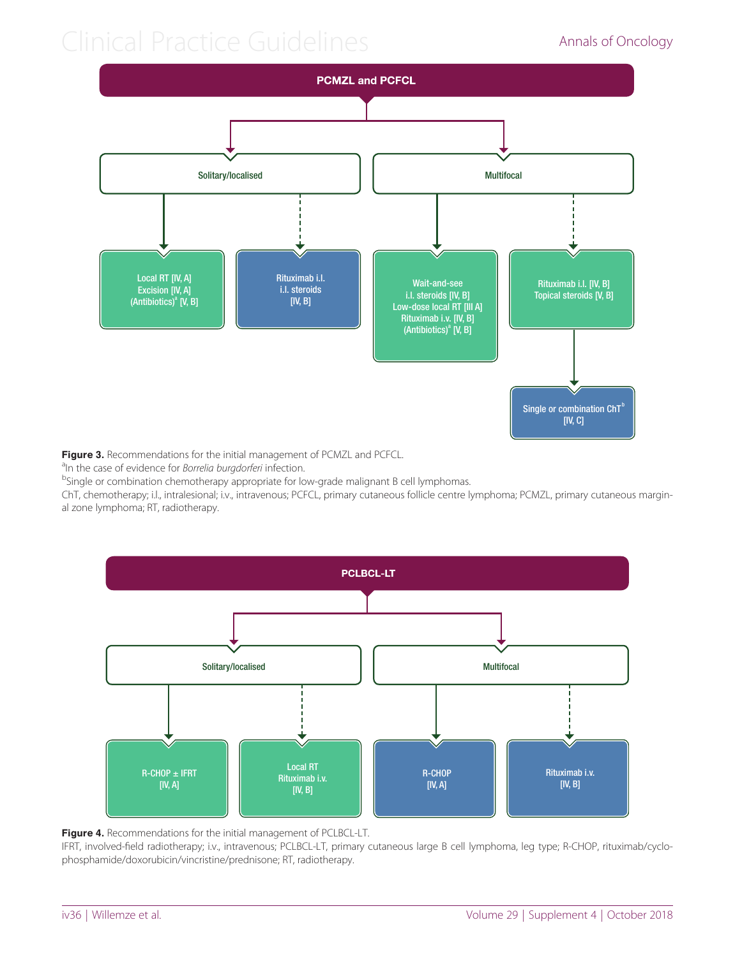<span id="page-6-0"></span>

Figure 3. Recommendations for the initial management of PCMZL and PCFCL.

<sup>a</sup>In the case of evidence for Borrelia burgdorferi infection.

<sup>b</sup>Single or combination chemotherapy appropriate for low-grade malignant B cell lymphomas.

ChT, chemotherapy; i.l., intralesional; i.v., intravenous; PCFCL, primary cutaneous follicle centre lymphoma; PCMZL, primary cutaneous marginal zone lymphoma; RT, radiotherapy.



Figure 4. Recommendations for the initial management of PCLBCL-LT.

IFRT, involved-field radiotherapy; i.v., intravenous; PCLBCL-LT, primary cutaneous large B cell lymphoma, leg type; R-CHOP, rituximab/cyclophosphamide/doxorubicin/vincristine/prednisone; RT, radiotherapy.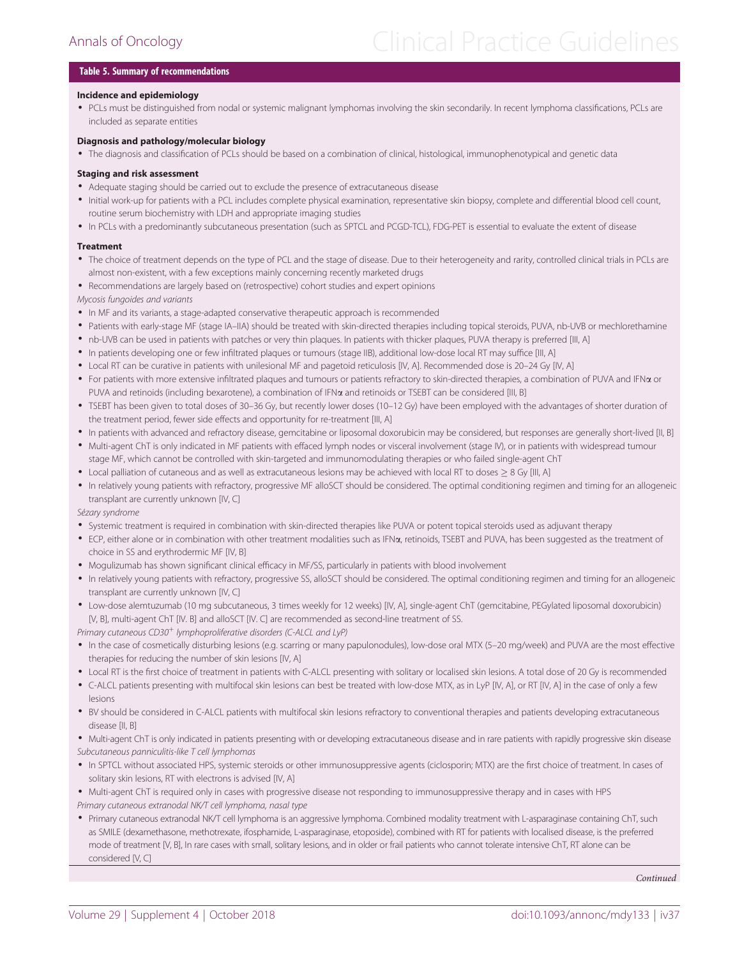# <span id="page-7-0"></span>Annals of Oncology **Clinical Practice Guidelines**

### Table 5. Summary of recommendations

#### Incidence and epidemiology

• PCLs must be distinguished from nodal or systemic malignant lymphomas involving the skin secondarily. In recent lymphoma classifications, PCLs are included as separate entities

#### Diagnosis and pathology/molecular biology

• The diagnosis and classification of PCLs should be based on a combination of clinical, histological, immunophenotypical and genetic data

#### Staging and risk assessment

- Adequate staging should be carried out to exclude the presence of extracutaneous disease
- Initial work-up for patients with a PCL includes complete physical examination, representative skin biopsy, complete and differential blood cell count, routine serum biochemistry with LDH and appropriate imaging studies
- In PCLs with a predominantly subcutaneous presentation (such as SPTCL and PCGD-TCL), FDG-PET is essential to evaluate the extent of disease

#### Treatment

- The choice of treatment depends on the type of PCL and the stage of disease. Due to their heterogeneity and rarity, controlled clinical trials in PCLs are almost non-existent, with a few exceptions mainly concerning recently marketed drugs
- Recommendations are largely based on (retrospective) cohort studies and expert opinions

Mycosis fungoides and variants

- In MF and its variants, a stage-adapted conservative therapeutic approach is recommended
- Patients with early-stage MF (stage IA–IIA) should be treated with skin-directed therapies including topical steroids, PUVA, nb-UVB or mechlorethamine
- nb-UVB can be used in patients with patches or very thin plaques. In patients with thicker plaques, PUVA therapy is preferred [III, A]
- In patients developing one or few infiltrated plaques or tumours (stage IIB), additional low-dose local RT may suffice [III, A]
- Local RT can be curative in patients with unilesional MF and pagetoid reticulosis [IV, A]. Recommended dose is 20–24 Gy [IV, A]
- For patients with more extensive infiltrated plaques and tumours or patients refractory to skin-directed therapies, a combination of PUVA and IFNa or PUVA and retinoids (including bexarotene), a combination of IFNa and retinoids or TSEBT can be considered [III, B]
- TSEBT has been given to total doses of 30–36 Gy, but recently lower doses (10–12 Gy) have been employed with the advantages of shorter duration of the treatment period, fewer side effects and opportunity for re-treatment [III, A]
- In patients with advanced and refractory disease, gemcitabine or liposomal doxorubicin may be considered, but responses are generally short-lived [II, B] • Multi-agent ChT is only indicated in MF patients with effaced lymph nodes or visceral involvement (stage IV), or in patients with widespread tumour
- stage MF, which cannot be controlled with skin-targeted and immunomodulating therapies or who failed single-agent ChT
- Local palliation of cutaneous and as well as extracutaneous lesions may be achieved with local RT to doses > 8 Gy [III, A]
- In relatively young patients with refractory, progressive MF alloSCT should be considered. The optimal conditioning regimen and timing for an allogeneic transplant are currently unknown [IV, C]

Sézary syndrome

- Systemic treatment is required in combination with skin-directed therapies like PUVA or potent topical steroids used as adjuvant therapy
- ECP, either alone or in combination with other treatment modalities such as IFNa, retinoids, TSEBT and PUVA, has been suggested as the treatment of choice in SS and erythrodermic MF [IV, B]
- Mogulizumab has shown significant clinical efficacy in MF/SS, particularly in patients with blood involvement
- In relatively young patients with refractory, progressive SS, alloSCT should be considered. The optimal conditioning regimen and timing for an allogeneic transplant are currently unknown [IV, C]
- Low-dose alemtuzumab (10 mg subcutaneous, 3 times weekly for 12 weeks) [IV, A], single-agent ChT (gemcitabine, PEGylated liposomal doxorubicin) [V, B], multi-agent ChT [IV. B] and alloSCT [IV. C] are recommended as second-line treatment of SS.

Primary cutaneous  $CD30<sup>+</sup>$  lymphoproliferative disorders (C-ALCL and LyP)

- In the case of cosmetically disturbing lesions (e.g. scarring or many papulonodules), low-dose oral MTX (5–20 mg/week) and PUVA are the most effective therapies for reducing the number of skin lesions [IV, A]
- Local RT is the first choice of treatment in patients with C-ALCL presenting with solitary or localised skin lesions. A total dose of 20 Gy is recommended
- C-ALCL patients presenting with multifocal skin lesions can best be treated with low-dose MTX, as in LyP [IV, A], or RT [IV, A] in the case of only a few lesions
- BV should be considered in C-ALCL patients with multifocal skin lesions refractory to conventional therapies and patients developing extracutaneous disease [II, B]
- Multi-agent ChT is only indicated in patients presenting with or developing extracutaneous disease and in rare patients with rapidly progressive skin disease Subcutaneous panniculitis-like T cell lymphomas
- In SPTCL without associated HPS, systemic steroids or other immunosuppressive agents (ciclosporin; MTX) are the first choice of treatment. In cases of solitary skin lesions, RT with electrons is advised [IV, A]
- Multi-agent ChT is required only in cases with progressive disease not responding to immunosuppressive therapy and in cases with HPS Primary cutaneous extranodal NK/T cell lymphoma, nasal type
- Primary cutaneous extranodal NK/T cell lymphoma is an aggressive lymphoma. Combined modality treatment with L-asparaginase containing ChT, such as SMILE (dexamethasone, methotrexate, ifosphamide, L-asparaginase, etoposide), combined with RT for patients with localised disease, is the preferred mode of treatment [V, B], In rare cases with small, solitary lesions, and in older or frail patients who cannot tolerate intensive ChT, RT alone can be considered [V, C]

Continued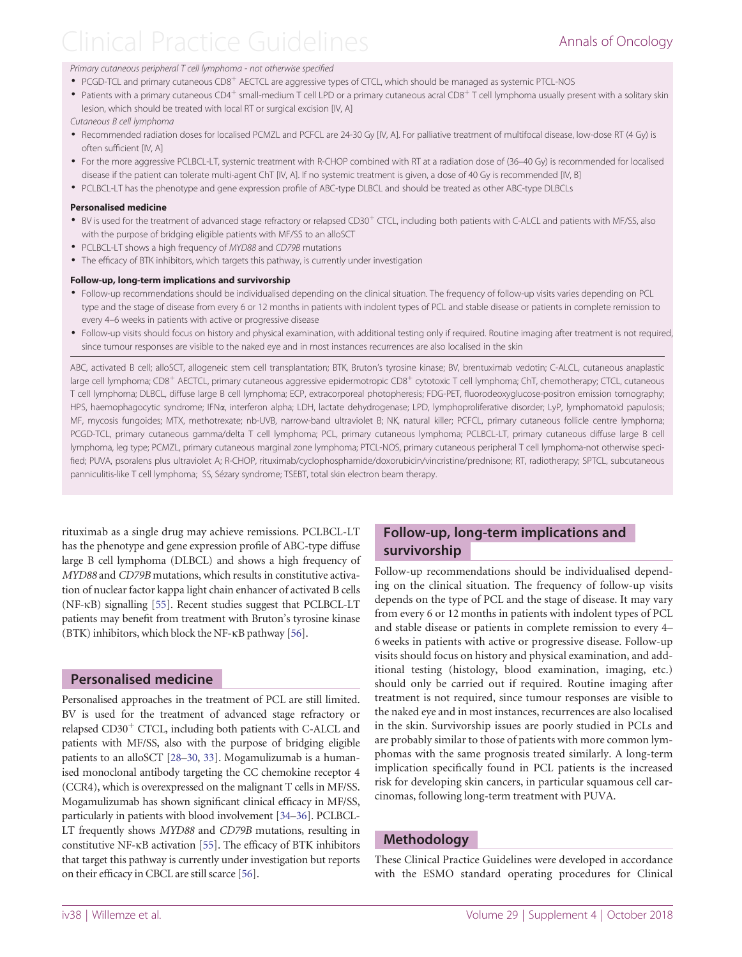#### <span id="page-8-0"></span>Primary cutaneous peripheral T cell lymphoma - not otherwise specified

- PCGD-TCL and primary cutaneous CD8<sup>+</sup> AECTCL are aggressive types of CTCL, which should be managed as systemic PTCL-NOS
- Patients with a primary cutaneous CD4<sup>+</sup> small-medium T cell LPD or a primary cutaneous acral CD8<sup>+</sup> T cell lymphoma usually present with a solitary skin lesion, which should be treated with local RT or surgical excision [IV, A]

Cutaneous B cell lymphoma

- Recommended radiation doses for localised PCMZL and PCFCL are 24-30 Gy [IV, A]. For palliative treatment of multifocal disease, low-dose RT (4 Gy) is often sufficient [IV, A]
- For the more aggressive PCLBCL-LT, systemic treatment with R-CHOP combined with RT at a radiation dose of (36–40 Gy) is recommended for localised disease if the patient can tolerate multi-agent ChT [IV, A]. If no systemic treatment is given, a dose of 40 Gy is recommended [IV, B]
- PCLBCL-LT has the phenotype and gene expression profile of ABC-type DLBCL and should be treated as other ABC-type DLBCLs

### Personalised medicine

- BV is used for the treatment of advanced stage refractory or relapsed CD30<sup>+</sup> CTCL, including both patients with C-ALCL and patients with MF/SS, also with the purpose of bridging eligible patients with MF/SS to an alloSCT
- PCLBCL-LT shows a high frequency of MYD88 and CD79B mutations
- The efficacy of BTK inhibitors, which targets this pathway, is currently under investigation

### Follow-up, long-term implications and survivorship

- Follow-up recommendations should be individualised depending on the clinical situation. The frequency of follow-up visits varies depending on PCL type and the stage of disease from every 6 or 12 months in patients with indolent types of PCL and stable disease or patients in complete remission to every 4–6 weeks in patients with active or progressive disease
- Follow-up visits should focus on history and physical examination, with additional testing only if required. Routine imaging after treatment is not required, since tumour responses are visible to the naked eye and in most instances recurrences are also localised in the skin

ABC, activated B cell; alloSCT, allogeneic stem cell transplantation; BTK, Bruton's tyrosine kinase; BV, brentuximab vedotin; C-ALCL, cutaneous anaplastic large cell lymphoma; CD8<sup>+</sup> AECTCL, primary cutaneous aggressive epidermotropic CD8<sup>+</sup> cytotoxic T cell lymphoma; ChT, chemotherapy; CTCL, cutaneous T cell lymphoma; DLBCL, diffuse large B cell lymphoma; ECP, extracorporeal photopheresis; FDG-PET, fluorodeoxyglucose-positron emission tomography; HPS, haemophagocytic syndrome; IFNa, interferon alpha; LDH, lactate dehydrogenase; LPD, lymphoproliferative disorder; LyP, lymphomatoid papulosis; MF, mycosis fungoides; MTX, methotrexate; nb-UVB, narrow-band ultraviolet B; NK, natural killer; PCFCL, primary cutaneous follicle centre lymphoma; PCGD-TCL, primary cutaneous gamma/delta T cell lymphoma; PCL, primary cutaneous lymphoma; PCLBCL-LT, primary cutaneous diffuse large B cell lymphoma, leg type; PCMZL, primary cutaneous marginal zone lymphoma; PTCL-NOS, primary cutaneous peripheral T cell lymphoma-not otherwise specified; PUVA, psoralens plus ultraviolet A; R-CHOP, rituximab/cyclophosphamide/doxorubicin/vincristine/prednisone; RT, radiotherapy; SPTCL, subcutaneous panniculitis-like T cell lymphoma; SS, Sézary syndrome; TSEBT, total skin electron beam therapy.

rituximab as a single drug may achieve remissions. PCLBCL-LT has the phenotype and gene expression profile of ABC-type diffuse large B cell lymphoma (DLBCL) and shows a high frequency of MYD88 and CD79B mutations, which results in constitutive activation of nuclear factor kappa light chain enhancer of activated B cells ( $NF-\kappa$ B) signalling [\[55](#page-10-0)]. Recent studies suggest that PCLBCL-LT patients may benefit from treatment with Bruton's tyrosine kinase (BTK) inhibitors, which block the NF- $\kappa$ B pathway [\[56\]](#page-10-0).

# Personalised medicine

Personalised approaches in the treatment of PCL are still limited. BV is used for the treatment of advanced stage refractory or relapsed  $CD30<sup>+</sup>$  CTCL, including both patients with C-ALCL and patients with MF/SS, also with the purpose of bridging eligible patients to an alloSCT [[28–30](#page-10-0), [33\]](#page-10-0). Mogamulizumab is a humanised monoclonal antibody targeting the CC chemokine receptor 4 (CCR4), which is overexpressed on the malignant T cells in MF/SS. Mogamulizumab has shown significant clinical efficacy in MF/SS, particularly in patients with blood involvement [\[34–36](#page-10-0)]. PCLBCL-LT frequently shows MYD88 and CD79B mutations, resulting in constitutive NF- $\kappa$ B activation [\[55](#page-10-0)]. The efficacy of BTK inhibitors that target this pathway is currently under investigation but reports on their efficacy in CBCL are still scarce [[56](#page-10-0)].

# Follow-up, long-term implications and survivorship

Follow-up recommendations should be individualised depending on the clinical situation. The frequency of follow-up visits depends on the type of PCL and the stage of disease. It may vary from every 6 or 12 months in patients with indolent types of PCL and stable disease or patients in complete remission to every 4– 6 weeks in patients with active or progressive disease. Follow-up visits should focus on history and physical examination, and additional testing (histology, blood examination, imaging, etc.) should only be carried out if required. Routine imaging after treatment is not required, since tumour responses are visible to the naked eye and in most instances, recurrences are also localised in the skin. Survivorship issues are poorly studied in PCLs and are probably similar to those of patients with more common lymphomas with the same prognosis treated similarly. A long-term implication specifically found in PCL patients is the increased risk for developing skin cancers, in particular squamous cell carcinomas, following long-term treatment with PUVA.

# Methodology

These Clinical Practice Guidelines were developed in accordance with the ESMO standard operating procedures for Clinical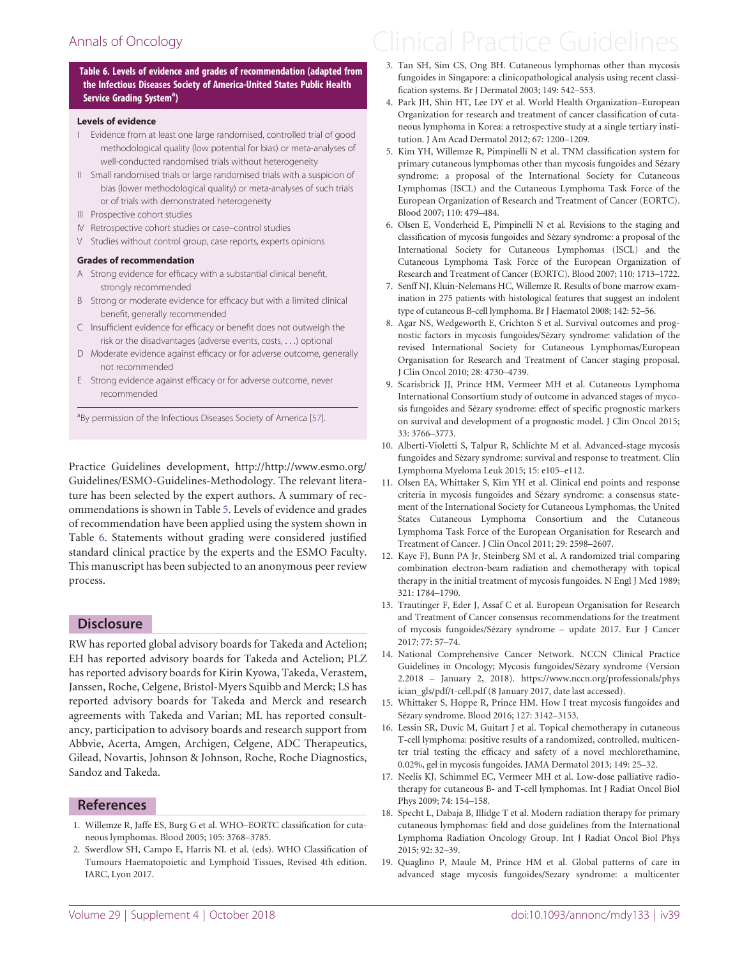### Table 6. Levels of evidence and grades of recommendation (adapted from the Infectious Diseases Society of America-United States Public Health Service Grading System<sup>a</sup>)

#### Levels of evidence

- I Evidence from at least one large randomised, controlled trial of good methodological quality (low potential for bias) or meta-analyses of well-conducted randomised trials without heterogeneity
- II Small randomised trials or large randomised trials with a suspicion of bias (lower methodological quality) or meta-analyses of such trials or of trials with demonstrated heterogeneity
- III Prospective cohort studies
- IV Retrospective cohort studies or case–control studies
- V Studies without control group, case reports, experts opinions

#### Grades of recommendation

- A Strong evidence for efficacy with a substantial clinical benefit, strongly recommended
- B Strong or moderate evidence for efficacy but with a limited clinical benefit, generally recommended
- C Insufficient evidence for efficacy or benefit does not outweigh the risk or the disadvantages (adverse events, costs, ...) optional
- D Moderate evidence against efficacy or for adverse outcome, generally not recommended
- E Strong evidence against efficacy or for adverse outcome, never recommended

<sup>a</sup>By permission of the Infectious Diseases Society of America [[57](#page-10-0)].

Practice Guidelines development, [http://http://www.esmo.org/](http://http://www.esmo.org/Guidelines/ESMO-Guidelines-Methodology) [Guidelines/ESMO-Guidelines-Methodology](http://http://www.esmo.org/Guidelines/ESMO-Guidelines-Methodology). The relevant literature has been selected by the expert authors. A summary of recommendations is shown in Table [5.](#page-7-0) Levels of evidence and grades of recommendation have been applied using the system shown in Table 6. Statements without grading were considered justified standard clinical practice by the experts and the ESMO Faculty. This manuscript has been subjected to an anonymous peer review process.

# **Disclosure**

RW has reported global advisory boards for Takeda and Actelion; EH has reported advisory boards for Takeda and Actelion; PLZ has reported advisory boards for Kirin Kyowa, Takeda, Verastem, Janssen, Roche, Celgene, Bristol-Myers Squibb and Merck; LS has reported advisory boards for Takeda and Merck and research agreements with Takeda and Varian; ML has reported consultancy, participation to advisory boards and research support from Abbvie, Acerta, Amgen, Archigen, Celgene, ADC Therapeutics, Gilead, Novartis, Johnson & Johnson, Roche, Roche Diagnostics, Sandoz and Takeda.

# References

- [1](#page-0-0). Willemze R, Jaffe ES, Burg G et al. WHO–EORTC classification for cutaneous lymphomas. Blood 2005; 105: 3768–3785.
- [2](#page-0-0). Swerdlow SH, Campo E, Harris NL et al. (eds). WHO Classification of Tumours Haematopoietic and Lymphoid Tissues, Revised 4th edition. IARC, Lyon 2017.

# <span id="page-9-0"></span>Annals of Oncology **Annals of Oncology Clinical Practice Guidelines**

- [3.](#page-0-0) Tan SH, Sim CS, Ong BH. Cutaneous lymphomas other than mycosis fungoides in Singapore: a clinicopathological analysis using recent classification systems. Br J Dermatol 2003; 149: 542–553.
- [4.](#page-0-0) Park JH, Shin HT, Lee DY et al. World Health Organization–European Organization for research and treatment of cancer classification of cutaneous lymphoma in Korea: a retrospective study at a single tertiary institution. J Am Acad Dermatol 2012; 67: 1200–1209.
- [5.](#page-0-0) Kim YH, Willemze R, Pimpinelli N et al. TNM classification system for primary cutaneous lymphomas other than mycosis fungoides and Sézary syndrome: a proposal of the International Society for Cutaneous Lymphomas (ISCL) and the Cutaneous Lymphoma Task Force of the European Organization of Research and Treatment of Cancer (EORTC). Blood 2007; 110: 479–484.
- [6.](#page-1-0) Olsen E, Vonderheid E, Pimpinelli N et al. Revisions to the staging and classification of mycosis fungoides and Sézary syndrome: a proposal of the International Society for Cutaneous Lymphomas (ISCL) and the Cutaneous Lymphoma Task Force of the European Organization of Research and Treatment of Cancer (EORTC). Blood 2007; 110: 1713–1722.
- [7.](#page-1-0) Senff NJ, Kluin-Nelemans HC, Willemze R. Results of bone marrow examination in 275 patients with histological features that suggest an indolent type of cutaneous B-cell lymphoma. Br J Haematol 2008; 142: 52–56.
- 8. Agar NS, Wedgeworth E, Crichton S et al. Survival outcomes and prognostic factors in mycosis fungoides/Sézary syndrome: validation of the revised International Society for Cutaneous Lymphomas/European Organisation for Research and Treatment of Cancer staging proposal. J Clin Oncol 2010; 28: 4730–4739.
- 9. Scarisbrick JJ, Prince HM, Vermeer MH et al. Cutaneous Lymphoma International Consortium study of outcome in advanced stages of mycosis fungoides and Sézary syndrome: effect of specific prognostic markers on survival and development of a prognostic model. J Clin Oncol 2015; 33: 3766–3773.
- 10. Alberti-Violetti S, Talpur R, Schlichte M et al. Advanced-stage mycosis fungoides and Sézary syndrome: survival and response to treatment. Clin Lymphoma Myeloma Leuk 2015; 15: e105–e112.
- [11.](#page-1-0) Olsen EA, Whittaker S, Kim YH et al. Clinical end points and response criteria in mycosis fungoides and Sézary syndrome: a consensus statement of the International Society for Cutaneous Lymphomas, the United States Cutaneous Lymphoma Consortium and the Cutaneous Lymphoma Task Force of the European Organisation for Research and Treatment of Cancer. J Clin Oncol 2011; 29: 2598–2607.
- 12. Kaye FJ, Bunn PA Jr, Steinberg SM et al. A randomized trial comparing combination electron-beam radiation and chemotherapy with topical therapy in the initial treatment of mycosis fungoides. N Engl J Med 1989; 321: 1784–1790.
- [13.](#page-1-0) Trautinger F, Eder J, Assaf C et al. European Organisation for Research and Treatment of Cancer consensus recommendations for the treatment of mycosis fungoides/Sézary syndrome - update 2017. Eur J Cancer 2017; 77: 57–74.
- 14. National Comprehensive Cancer Network. NCCN Clinical Practice Guidelines in Oncology; Mycosis fungoides/Sézary syndrome (Version 2.2018 – January 2, 2018). [https://www.nccn.org/professionals/phys](https://www.nccn.org/professionals/physician_gls/pdf/t-cell.pdf) [ician\\_gls/pdf/t-cell.pdf](https://www.nccn.org/professionals/physician_gls/pdf/t-cell.pdf) (8 January 2017, date last accessed).
- [15.](#page-1-0) Whittaker S, Hoppe R, Prince HM. How I treat mycosis fungoides and Sézary syndrome. Blood 2016; 127: 3142-3153.
- [16.](#page-2-0) Lessin SR, Duvic M, Guitart J et al. Topical chemotherapy in cutaneous T-cell lymphoma: positive results of a randomized, controlled, multicenter trial testing the efficacy and safety of a novel mechlorethamine, 0.02%, gel in mycosis fungoides. JAMA Dermatol 2013; 149: 25–32.
- [17.](#page-2-0) Neelis KJ, Schimmel EC, Vermeer MH et al. Low-dose palliative radiotherapy for cutaneous B- and T-cell lymphomas. Int J Radiat Oncol Biol Phys 2009; 74: 154–158.
- [18.](#page-2-0) Specht L, Dabaja B, Illidge T et al. Modern radiation therapy for primary cutaneous lymphomas: field and dose guidelines from the International Lymphoma Radiation Oncology Group. Int J Radiat Oncol Biol Phys 2015; 92: 32–39.
- [19.](#page-2-0) Quaglino P, Maule M, Prince HM et al. Global patterns of care in advanced stage mycosis fungoides/Sezary syndrome: a multicenter